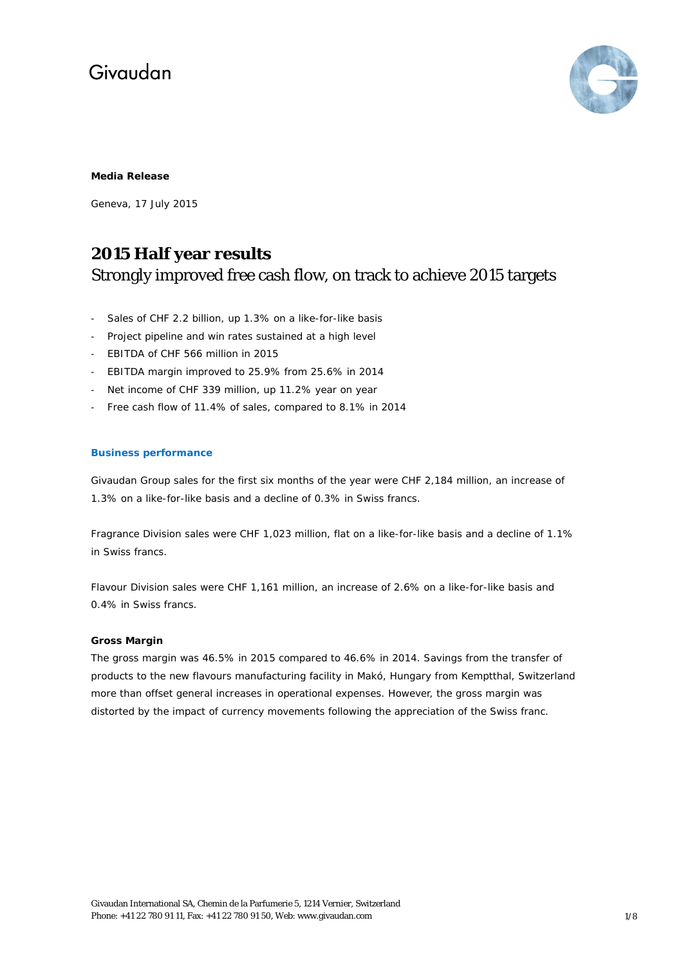

### **Media Release**

Geneva, 17 July 2015

### **2015 Half year results** Strongly improved free cash flow, on track to achieve 2015 targets

- Sales of CHF 2.2 billion, up 1.3% on a like-for-like basis
- Project pipeline and win rates sustained at a high level
- EBITDA of CHF 566 million in 2015
- EBITDA margin improved to 25.9% from 25.6% in 2014
- Net income of CHF 339 million, up 11.2% year on year
- Free cash flow of 11.4% of sales, compared to 8.1% in 2014

### **Business performance**

Givaudan Group sales for the first six months of the year were CHF 2,184 million, an increase of 1.3% on a like-for-like basis and a decline of 0.3% in Swiss francs.

Fragrance Division sales were CHF 1,023 million, flat on a like-for-like basis and a decline of 1.1% in Swiss francs.

Flavour Division sales were CHF 1,161 million, an increase of 2.6% on a like-for-like basis and 0.4% in Swiss francs.

#### **Gross Margin**

The gross margin was 46.5% in 2015 compared to 46.6% in 2014. Savings from the transfer of products to the new flavours manufacturing facility in Makó, Hungary from Kemptthal, Switzerland more than offset general increases in operational expenses. However, the gross margin was distorted by the impact of currency movements following the appreciation of the Swiss franc.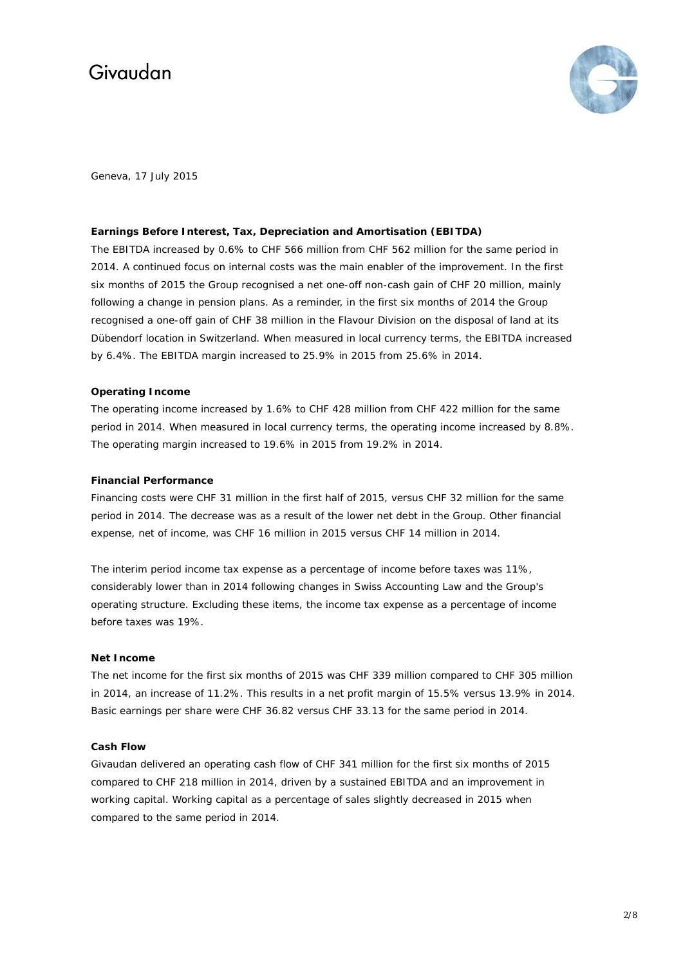

Geneva, 17 July 2015

### **Earnings Before Interest, Tax, Depreciation and Amortisation (EBITDA)**

The EBITDA increased by 0.6% to CHF 566 million from CHF 562 million for the same period in 2014. A continued focus on internal costs was the main enabler of the improvement. In the first six months of 2015 the Group recognised a net one-off non-cash gain of CHF 20 million, mainly following a change in pension plans. As a reminder, in the first six months of 2014 the Group recognised a one-off gain of CHF 38 million in the Flavour Division on the disposal of land at its Dübendorf location in Switzerland. When measured in local currency terms, the EBITDA increased by 6.4%. The EBITDA margin increased to 25.9% in 2015 from 25.6% in 2014.

### **Operating Income**

The operating income increased by 1.6% to CHF 428 million from CHF 422 million for the same period in 2014. When measured in local currency terms, the operating income increased by 8.8%. The operating margin increased to 19.6% in 2015 from 19.2% in 2014.

#### **Financial Performance**

Financing costs were CHF 31 million in the first half of 2015, versus CHF 32 million for the same period in 2014. The decrease was as a result of the lower net debt in the Group. Other financial expense, net of income, was CHF 16 million in 2015 versus CHF 14 million in 2014.

The interim period income tax expense as a percentage of income before taxes was 11%, considerably lower than in 2014 following changes in Swiss Accounting Law and the Group's operating structure. Excluding these items, the income tax expense as a percentage of income before taxes was 19%.

### **Net Income**

The net income for the first six months of 2015 was CHF 339 million compared to CHF 305 million in 2014, an increase of 11.2%. This results in a net profit margin of 15.5% versus 13.9% in 2014. Basic earnings per share were CHF 36.82 versus CHF 33.13 for the same period in 2014.

### **Cash Flow**

Givaudan delivered an operating cash flow of CHF 341 million for the first six months of 2015 compared to CHF 218 million in 2014, driven by a sustained EBITDA and an improvement in working capital. Working capital as a percentage of sales slightly decreased in 2015 when compared to the same period in 2014.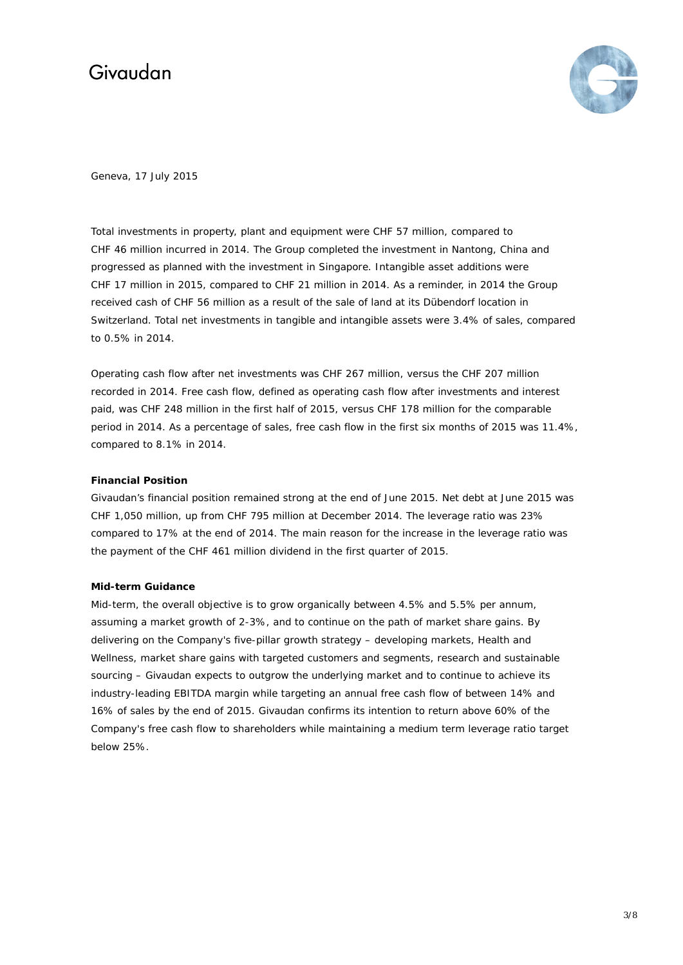

Geneva, 17 July 2015

Total investments in property, plant and equipment were CHF 57 million, compared to CHF 46 million incurred in 2014. The Group completed the investment in Nantong, China and progressed as planned with the investment in Singapore. Intangible asset additions were CHF 17 million in 2015, compared to CHF 21 million in 2014. As a reminder, in 2014 the Group received cash of CHF 56 million as a result of the sale of land at its Dübendorf location in Switzerland. Total net investments in tangible and intangible assets were 3.4% of sales, compared to 0.5% in 2014.

Operating cash flow after net investments was CHF 267 million, versus the CHF 207 million recorded in 2014. Free cash flow, defined as operating cash flow after investments and interest paid, was CHF 248 million in the first half of 2015, versus CHF 178 million for the comparable period in 2014. As a percentage of sales, free cash flow in the first six months of 2015 was 11.4%, compared to 8.1% in 2014.

### **Financial Position**

Givaudan's financial position remained strong at the end of June 2015. Net debt at June 2015 was CHF 1,050 million, up from CHF 795 million at December 2014. The leverage ratio was 23% compared to 17% at the end of 2014. The main reason for the increase in the leverage ratio was the payment of the CHF 461 million dividend in the first quarter of 2015.

#### **Mid-term Guidance**

Mid-term, the overall objective is to grow organically between 4.5% and 5.5% per annum, assuming a market growth of 2-3%, and to continue on the path of market share gains. By delivering on the Company's five-pillar growth strategy – developing markets, Health and Wellness, market share gains with targeted customers and segments, research and sustainable sourcing – Givaudan expects to outgrow the underlying market and to continue to achieve its industry-leading EBITDA margin while targeting an annual free cash flow of between 14% and 16% of sales by the end of 2015. Givaudan confirms its intention to return above 60% of the Company's free cash flow to shareholders while maintaining a medium term leverage ratio target below 25%.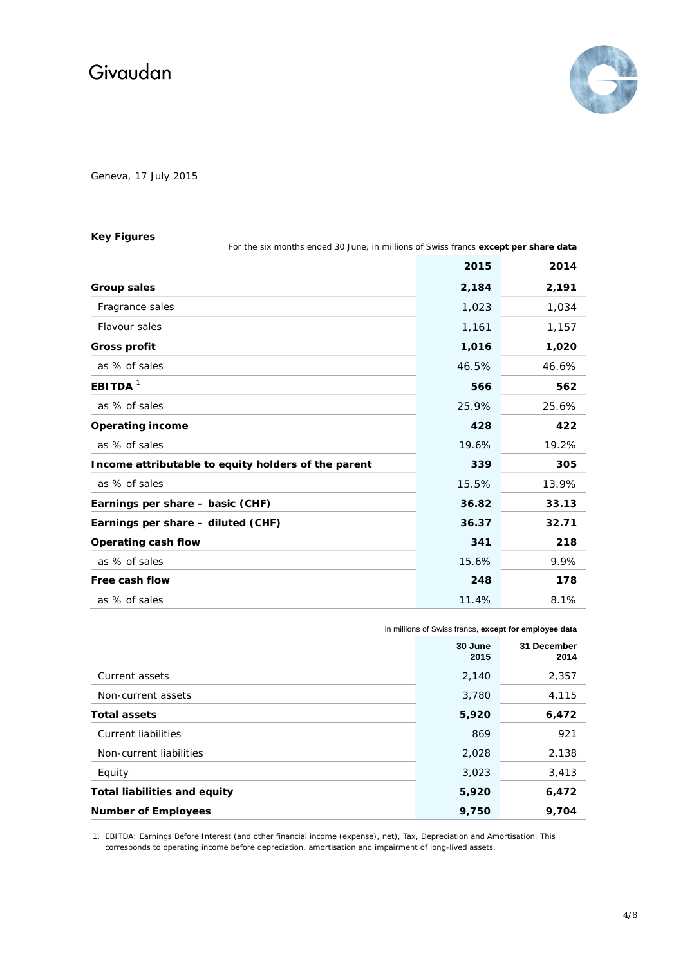

Geneva, 17 July 2015

### **Key Figures**

**2015 2014 Group sales 2,184 2,191** Fragrance sales 1,023 1,034 Flavour sales 1,161 1,157 **Gross profit 1,016 1,020 as % of sales 46.6% 46.6% 46.6% 46.6% 46.6% 46.6% 46.6% 46.6% 46.6% 46.6% 46.6% 46.6% 46.6% 46.6% 46.6% 46.6% 46.6% 46.6% 46.6% 46.6% 46.6% 46.6% 46.6% 46.6% 46.6% 46.6% 46.6% 46.6% 46.6% 46.6% 46.6% 46.6% 46.6% 46.6% 46. EBITDA** <sup>1</sup> **566 562** as % of sales 25.9% 25.6% **Operating income 428 422 as % of sales 19.6%** 19.2% **Income attributable to equity holders of the parent 339 305** as % of sales 15.5% 13.9% **Earnings per share – basic (CHF) 36.82 33.13 Earnings per share – diluted (CHF) 36.37 32.71 Operating cash flow 341 218** as % of sales 15.6% 9.9% **Free cash flow 248 178** as % of sales 11.4% 8.1%

For the six months ended 30 June, in millions of Swiss francs **except per share data**

in millions of Swiss francs, **except for employee data**

|                                     | 30 June<br>2015 | 31 December<br>2014 |
|-------------------------------------|-----------------|---------------------|
| Current assets                      | 2,140           | 2,357               |
| Non-current assets                  | 3,780           | 4,115               |
| <b>Total assets</b>                 | 5,920           | 6,472               |
| Current liabilities                 | 869             | 921                 |
| Non-current liabilities             | 2,028           | 2,138               |
| Equity                              | 3,023           | 3,413               |
| <b>Total liabilities and equity</b> | 5,920           | 6,472               |
| <b>Number of Employees</b>          | 9,750           | 9,704               |

1. EBITDA: Earnings Before Interest (and other financial income (expense), net), Tax, Depreciation and Amortisation. This corresponds to operating income before depreciation, amortisation and impairment of long-lived assets.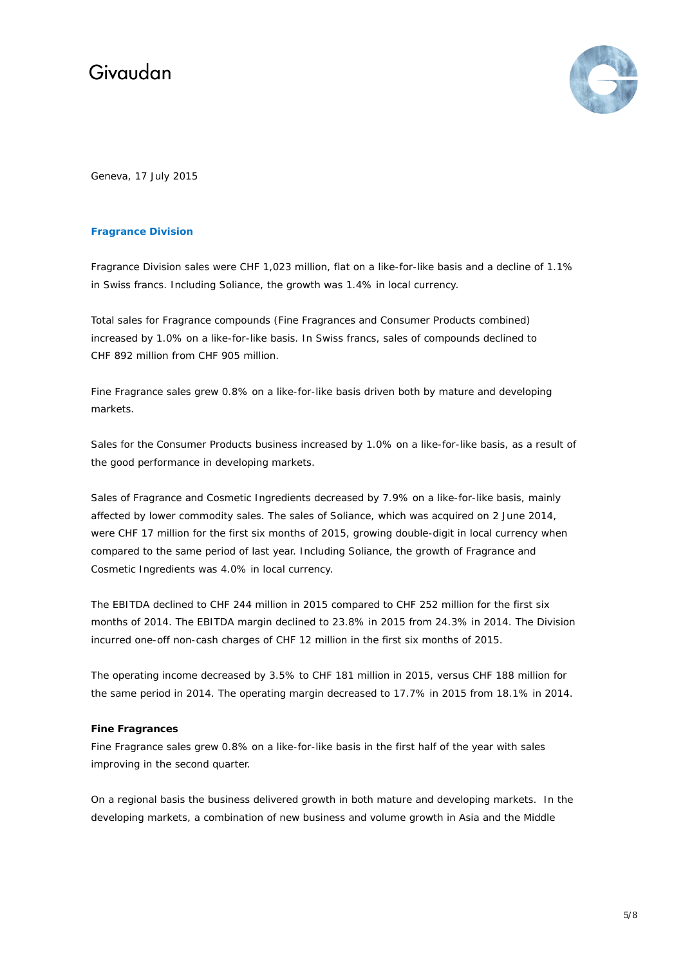

Geneva, 17 July 2015

### **Fragrance Division**

Fragrance Division sales were CHF 1,023 million, flat on a like-for-like basis and a decline of 1.1% in Swiss francs. Including Soliance, the growth was 1.4% in local currency.

Total sales for Fragrance compounds (Fine Fragrances and Consumer Products combined) increased by 1.0% on a like-for-like basis. In Swiss francs, sales of compounds declined to CHF 892 million from CHF 905 million.

Fine Fragrance sales grew 0.8% on a like-for-like basis driven both by mature and developing markets.

Sales for the Consumer Products business increased by 1.0% on a like-for-like basis, as a result of the good performance in developing markets.

Sales of Fragrance and Cosmetic Ingredients decreased by 7.9% on a like-for-like basis, mainly affected by lower commodity sales. The sales of Soliance, which was acquired on 2 June 2014, were CHF 17 million for the first six months of 2015, growing double-digit in local currency when compared to the same period of last year. Including Soliance, the growth of Fragrance and Cosmetic Ingredients was 4.0% in local currency.

The EBITDA declined to CHF 244 million in 2015 compared to CHF 252 million for the first six months of 2014. The EBITDA margin declined to 23.8% in 2015 from 24.3% in 2014. The Division incurred one-off non-cash charges of CHF 12 million in the first six months of 2015.

The operating income decreased by 3.5% to CHF 181 million in 2015, versus CHF 188 million for the same period in 2014. The operating margin decreased to 17.7% in 2015 from 18.1% in 2014.

#### **Fine Fragrances**

Fine Fragrance sales grew 0.8% on a like-for-like basis in the first half of the year with sales improving in the second quarter.

On a regional basis the business delivered growth in both mature and developing markets. In the developing markets, a combination of new business and volume growth in Asia and the Middle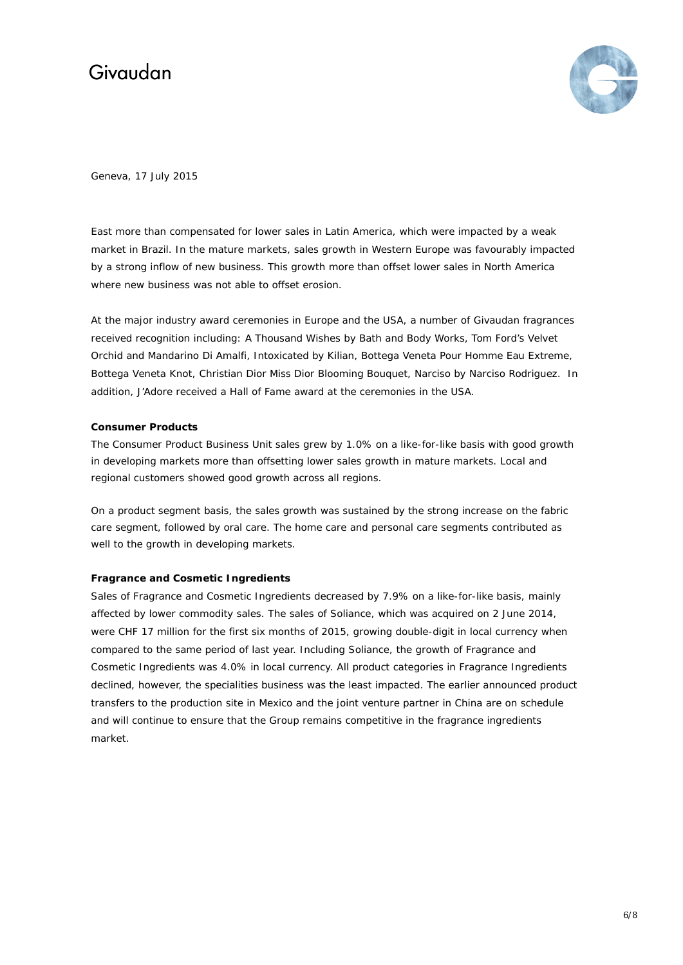

Geneva, 17 July 2015

East more than compensated for lower sales in Latin America, which were impacted by a weak market in Brazil. In the mature markets, sales growth in Western Europe was favourably impacted by a strong inflow of new business. This growth more than offset lower sales in North America where new business was not able to offset erosion.

At the major industry award ceremonies in Europe and the USA, a number of Givaudan fragrances received recognition including: A Thousand Wishes by Bath and Body Works, Tom Ford's Velvet Orchid and Mandarino Di Amalfi, Intoxicated by Kilian, Bottega Veneta Pour Homme Eau Extreme, Bottega Veneta Knot, Christian Dior Miss Dior Blooming Bouquet, Narciso by Narciso Rodriguez. In addition, J'Adore received a Hall of Fame award at the ceremonies in the USA.

### **Consumer Products**

The Consumer Product Business Unit sales grew by 1.0% on a like-for-like basis with good growth in developing markets more than offsetting lower sales growth in mature markets. Local and regional customers showed good growth across all regions.

On a product segment basis, the sales growth was sustained by the strong increase on the fabric care segment, followed by oral care. The home care and personal care segments contributed as well to the growth in developing markets.

### **Fragrance and Cosmetic Ingredients**

Sales of Fragrance and Cosmetic Ingredients decreased by 7.9% on a like-for-like basis, mainly affected by lower commodity sales. The sales of Soliance, which was acquired on 2 June 2014, were CHF 17 million for the first six months of 2015, growing double-digit in local currency when compared to the same period of last year. Including Soliance, the growth of Fragrance and Cosmetic Ingredients was 4.0% in local currency. All product categories in Fragrance Ingredients declined, however, the specialities business was the least impacted. The earlier announced product transfers to the production site in Mexico and the joint venture partner in China are on schedule and will continue to ensure that the Group remains competitive in the fragrance ingredients market.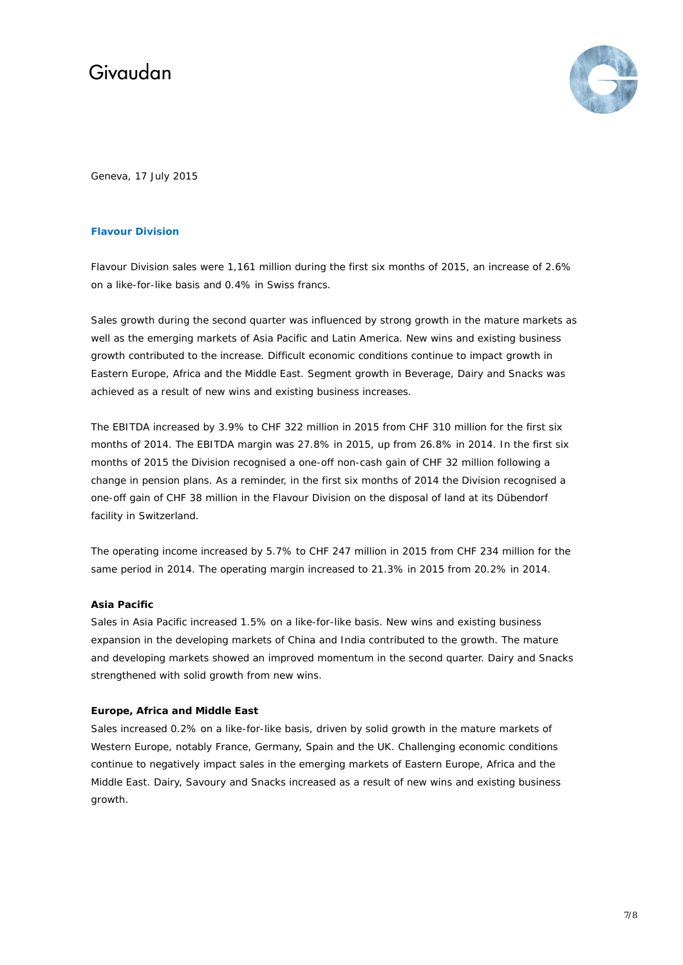

Geneva, 17 July 2015

### **Flavour Division**

Flavour Division sales were 1,161 million during the first six months of 2015, an increase of 2.6% on a like-for-like basis and 0.4% in Swiss francs.

Sales growth during the second quarter was influenced by strong growth in the mature markets as well as the emerging markets of Asia Pacific and Latin America. New wins and existing business growth contributed to the increase. Difficult economic conditions continue to impact growth in Eastern Europe, Africa and the Middle East. Segment growth in Beverage, Dairy and Snacks was achieved as a result of new wins and existing business increases.

The EBITDA increased by 3.9% to CHF 322 million in 2015 from CHF 310 million for the first six months of 2014. The EBITDA margin was 27.8% in 2015, up from 26.8% in 2014. In the first six months of 2015 the Division recognised a one-off non-cash gain of CHF 32 million following a change in pension plans. As a reminder, in the first six months of 2014 the Division recognised a one-off gain of CHF 38 million in the Flavour Division on the disposal of land at its Dübendorf facility in Switzerland.

The operating income increased by 5.7% to CHF 247 million in 2015 from CHF 234 million for the same period in 2014. The operating margin increased to 21.3% in 2015 from 20.2% in 2014.

#### **Asia Pacific**

Sales in Asia Pacific increased 1.5% on a like-for-like basis. New wins and existing business expansion in the developing markets of China and India contributed to the growth. The mature and developing markets showed an improved momentum in the second quarter. Dairy and Snacks strengthened with solid growth from new wins.

#### **Europe, Africa and Middle East**

Sales increased 0.2% on a like-for-like basis, driven by solid growth in the mature markets of Western Europe, notably France, Germany, Spain and the UK. Challenging economic conditions continue to negatively impact sales in the emerging markets of Eastern Europe, Africa and the Middle East. Dairy, Savoury and Snacks increased as a result of new wins and existing business growth.